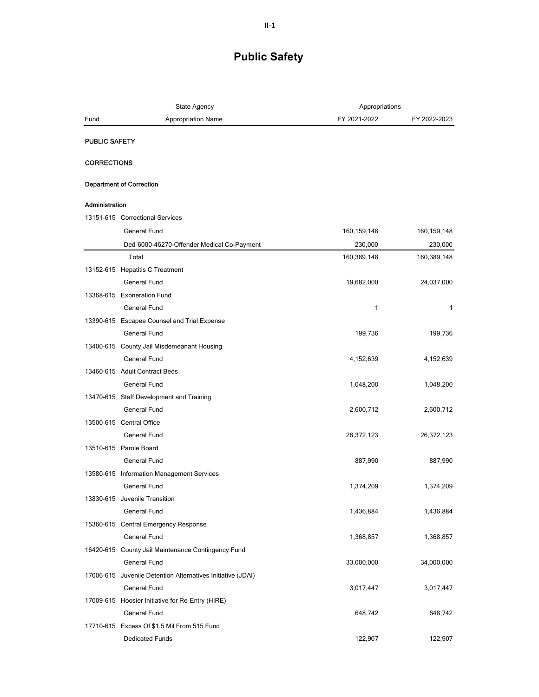|                                 | <b>State Agency</b>                                         | Appropriations |              |
|---------------------------------|-------------------------------------------------------------|----------------|--------------|
| Fund                            | <b>Appropriation Name</b>                                   | FY 2021-2022   | FY 2022-2023 |
| <b>PUBLIC SAFETY</b>            |                                                             |                |              |
|                                 |                                                             |                |              |
| <b>CORRECTIONS</b>              |                                                             |                |              |
| <b>Department of Correction</b> |                                                             |                |              |
| Administration                  |                                                             |                |              |
|                                 | 13151-615 Correctional Services                             |                |              |
|                                 | General Fund                                                | 160, 159, 148  | 160,159,148  |
|                                 | Ded-6000-46270-Offender Medical Co-Payment                  | 230,000        | 230,000      |
|                                 | Total                                                       | 160,389,148    | 160,389,148  |
|                                 | 13152-615 Hepatitis C Treatment                             |                |              |
|                                 | General Fund                                                | 19,682,000     | 24,037,000   |
|                                 | 13368-615 Exoneration Fund                                  |                |              |
|                                 | <b>General Fund</b>                                         | 1              | $\mathbf{1}$ |
|                                 | 13390-615 Escapee Counsel and Trial Expense                 |                |              |
|                                 | <b>General Fund</b>                                         | 199,736        | 199,736      |
|                                 | 13400-615 County Jail Misdemeanant Housing                  |                |              |
|                                 | General Fund                                                | 4,152,639      | 4,152,639    |
|                                 | 13460-615 Adult Contract Beds                               |                |              |
|                                 | <b>General Fund</b>                                         | 1,048,200      | 1,048,200    |
|                                 | 13470-615 Staff Development and Training                    |                |              |
|                                 | <b>General Fund</b>                                         | 2,600,712      | 2,600,712    |
| 13500-615 Central Office        |                                                             |                |              |
|                                 | <b>General Fund</b>                                         | 26,372,123     | 26,372,123   |
| 13510-615 Parole Board          |                                                             |                |              |
|                                 | General Fund                                                | 887,990        | 887,990      |
|                                 | 13580-615 Information Management Services                   |                |              |
|                                 | General Fund                                                | 1,374,209      | 1,374,209    |
|                                 | 13830-615 Juvenile Transition                               |                |              |
|                                 | General Fund                                                | 1,436,884      | 1,436,884    |
|                                 | 15360-615 Central Emergency Response                        |                |              |
|                                 | General Fund                                                | 1,368,857      | 1,368,857    |
|                                 | 16420-615 County Jail Maintenance Contingency Fund          |                |              |
|                                 | <b>General Fund</b>                                         | 33,000,000     | 34,000,000   |
|                                 | 17006-615 Juvenile Detention Alternatives Initiative (JDAI) |                |              |
|                                 | <b>General Fund</b>                                         | 3,017,447      | 3,017,447    |
|                                 | 17009-615 Hoosier Initiative for Re-Entry (HIRE)            |                |              |
|                                 | General Fund                                                | 648,742        | 648,742      |
|                                 | 17710-615 Excess Of \$1.5 Mil From 515 Fund                 |                |              |
|                                 | Dedicated Funds                                             | 122,907        | 122,907      |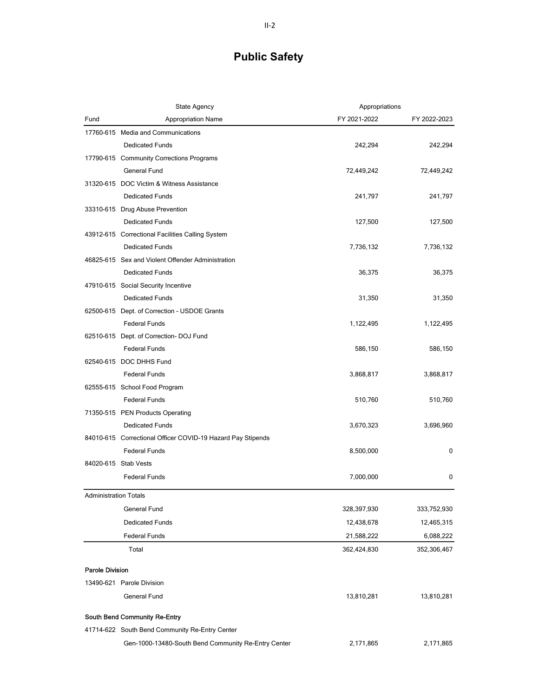|                              | <b>State Agency</b>                                         | Appropriations |              |
|------------------------------|-------------------------------------------------------------|----------------|--------------|
| Fund                         | <b>Appropriation Name</b>                                   | FY 2021-2022   | FY 2022-2023 |
|                              | 17760-615 Media and Communications                          |                |              |
|                              | <b>Dedicated Funds</b>                                      | 242,294        | 242,294      |
|                              | 17790-615 Community Corrections Programs                    |                |              |
|                              | General Fund                                                | 72,449,242     | 72,449,242   |
|                              | 31320-615 DOC Victim & Witness Assistance                   |                |              |
|                              | <b>Dedicated Funds</b>                                      | 241,797        | 241,797      |
|                              | 33310-615 Drug Abuse Prevention                             |                |              |
|                              | <b>Dedicated Funds</b>                                      | 127,500        | 127,500      |
|                              | 43912-615 Correctional Facilities Calling System            |                |              |
|                              | <b>Dedicated Funds</b>                                      | 7,736,132      | 7,736,132    |
|                              | 46825-615 Sex and Violent Offender Administration           |                |              |
|                              | <b>Dedicated Funds</b>                                      | 36,375         | 36,375       |
|                              | 47910-615 Social Security Incentive                         |                |              |
|                              | <b>Dedicated Funds</b>                                      | 31,350         | 31,350       |
|                              | 62500-615 Dept. of Correction - USDOE Grants                |                |              |
|                              | <b>Federal Funds</b>                                        | 1,122,495      | 1,122,495    |
|                              | 62510-615 Dept. of Correction-DOJ Fund                      |                |              |
|                              | <b>Federal Funds</b>                                        | 586,150        | 586,150      |
|                              | 62540-615 DOC DHHS Fund                                     |                |              |
|                              | <b>Federal Funds</b>                                        | 3,868,817      | 3,868,817    |
|                              | 62555-615 School Food Program                               |                |              |
|                              | <b>Federal Funds</b>                                        | 510,760        | 510,760      |
|                              | 71350-515 PEN Products Operating                            |                |              |
|                              | <b>Dedicated Funds</b>                                      | 3,670,323      | 3,696,960    |
|                              | 84010-615 Correctional Officer COVID-19 Hazard Pay Stipends |                |              |
|                              | <b>Federal Funds</b>                                        | 8,500,000      | 0            |
|                              | 84020-615 Stab Vests                                        |                |              |
|                              | <b>Federal Funds</b>                                        | 7,000,000      | 0            |
| <b>Administration Totals</b> |                                                             |                |              |
|                              | General Fund                                                | 328,397,930    | 333,752,930  |
|                              | <b>Dedicated Funds</b>                                      | 12,438,678     | 12,465,315   |
|                              | <b>Federal Funds</b>                                        | 21,588,222     | 6,088,222    |
|                              | Total                                                       | 362,424,830    | 352,306,467  |
|                              |                                                             |                |              |
| <b>Parole Division</b>       |                                                             |                |              |
|                              | 13490-621 Parole Division                                   |                |              |
|                              | <b>General Fund</b>                                         | 13,810,281     | 13,810,281   |
|                              | South Bend Community Re-Entry                               |                |              |
|                              | 41714-622 South Bend Community Re-Entry Center              |                |              |
|                              | Gen-1000-13480-South Bend Community Re-Entry Center         | 2,171,865      | 2,171,865    |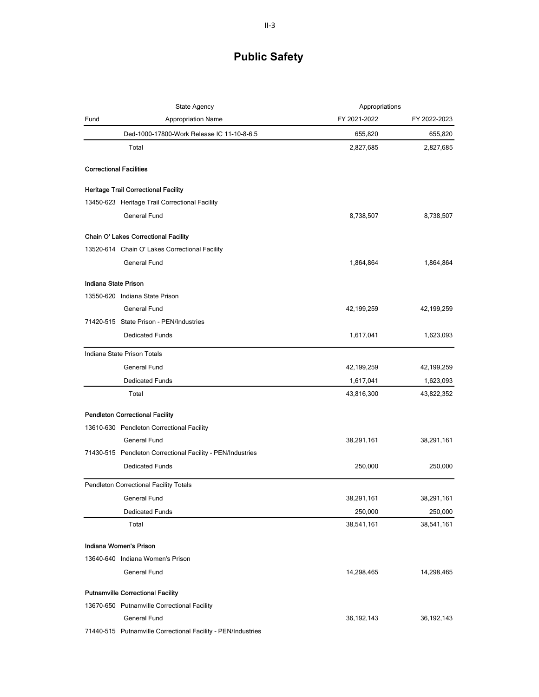|                                | <b>State Agency</b>                                        | Appropriations |              |
|--------------------------------|------------------------------------------------------------|----------------|--------------|
| Fund                           | <b>Appropriation Name</b>                                  | FY 2021-2022   | FY 2022-2023 |
|                                | Ded-1000-17800-Work Release IC 11-10-8-6.5                 | 655,820        | 655,820      |
|                                | Total                                                      | 2,827,685      | 2,827,685    |
| <b>Correctional Facilities</b> |                                                            |                |              |
|                                | <b>Heritage Trail Correctional Facility</b>                |                |              |
|                                | 13450-623 Heritage Trail Correctional Facility             |                |              |
|                                | <b>General Fund</b>                                        | 8,738,507      | 8,738,507    |
|                                | Chain O' Lakes Correctional Facility                       |                |              |
|                                | 13520-614 Chain O' Lakes Correctional Facility             |                |              |
|                                | <b>General Fund</b>                                        | 1,864,864      | 1,864,864    |
| Indiana State Prison           |                                                            |                |              |
|                                | 13550-620 Indiana State Prison                             |                |              |
|                                | General Fund                                               | 42,199,259     | 42,199,259   |
|                                | 71420-515 State Prison - PEN/Industries                    |                |              |
|                                | Dedicated Funds                                            | 1,617,041      | 1,623,093    |
|                                | Indiana State Prison Totals                                |                |              |
|                                | <b>General Fund</b>                                        | 42,199,259     | 42, 199, 259 |
|                                | <b>Dedicated Funds</b>                                     | 1,617,041      | 1,623,093    |
|                                | Total                                                      | 43,816,300     | 43,822,352   |
|                                | <b>Pendleton Correctional Facility</b>                     |                |              |
|                                | 13610-630 Pendleton Correctional Facility                  |                |              |
|                                | <b>General Fund</b>                                        | 38,291,161     | 38,291,161   |
|                                | 71430-515 Pendleton Correctional Facility - PEN/Industries |                |              |
|                                | <b>Dedicated Funds</b>                                     | 250,000        | 250,000      |
|                                | Pendleton Correctional Facility Totals                     |                |              |
|                                | General Fund                                               | 38,291,161     | 38,291,161   |
|                                | Dedicated Funds                                            | 250,000        | 250,000      |
|                                | Total                                                      | 38,541,161     | 38,541,161   |
| Indiana Women's Prison         |                                                            |                |              |
|                                | 13640-640 Indiana Women's Prison                           |                |              |
|                                | General Fund                                               | 14,298,465     | 14,298,465   |
|                                | <b>Putnamville Correctional Facility</b>                   |                |              |
|                                | 13670-650 Putnamville Correctional Facility                |                |              |
|                                | General Fund                                               | 36, 192, 143   | 36, 192, 143 |
|                                |                                                            |                |              |

71440-515 Putnamville Correctional Facility - PEN/Industries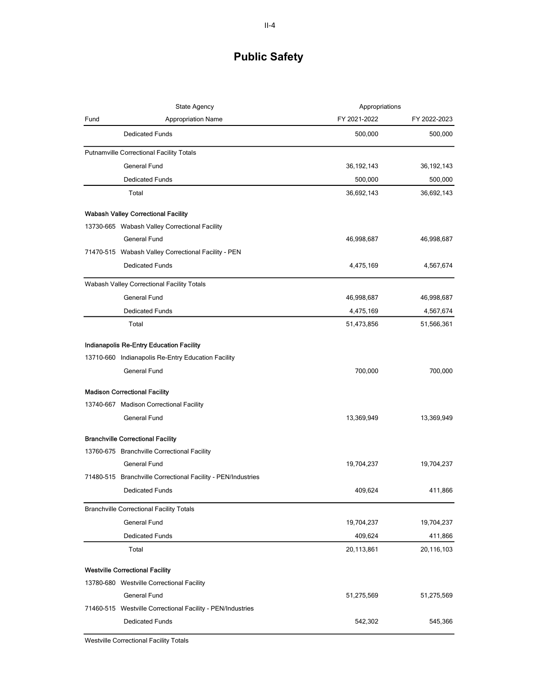|      | State Agency                                                 | Appropriations |              |
|------|--------------------------------------------------------------|----------------|--------------|
| Fund | <b>Appropriation Name</b>                                    | FY 2021-2022   | FY 2022-2023 |
|      | <b>Dedicated Funds</b>                                       | 500,000        | 500,000      |
|      | <b>Putnamville Correctional Facility Totals</b>              |                |              |
|      | <b>General Fund</b>                                          | 36, 192, 143   | 36, 192, 143 |
|      | <b>Dedicated Funds</b>                                       | 500,000        | 500,000      |
|      | Total                                                        | 36,692,143     | 36,692,143   |
|      | <b>Wabash Valley Correctional Facility</b>                   |                |              |
|      | 13730-665 Wabash Valley Correctional Facility                |                |              |
|      | <b>General Fund</b>                                          | 46,998,687     | 46,998,687   |
|      | 71470-515 Wabash Valley Correctional Facility - PEN          |                |              |
|      | <b>Dedicated Funds</b>                                       | 4,475,169      | 4,567,674    |
|      | Wabash Valley Correctional Facility Totals                   |                |              |
|      | <b>General Fund</b>                                          | 46,998,687     | 46,998,687   |
|      | <b>Dedicated Funds</b>                                       | 4,475,169      | 4,567,674    |
|      | Total                                                        | 51,473,856     | 51,566,361   |
|      | Indianapolis Re-Entry Education Facility                     |                |              |
|      | 13710-660 Indianapolis Re-Entry Education Facility           |                |              |
|      | <b>General Fund</b>                                          | 700,000        | 700,000      |
|      | <b>Madison Correctional Facility</b>                         |                |              |
|      | 13740-667 Madison Correctional Facility                      |                |              |
|      | <b>General Fund</b>                                          | 13,369,949     | 13,369,949   |
|      | <b>Branchville Correctional Facility</b>                     |                |              |
|      | 13760-675 Branchville Correctional Facility                  |                |              |
|      | General Fund                                                 | 19,704,237     | 19,704,237   |
|      | 71480-515 Branchville Correctional Facility - PEN/Industries |                |              |
|      | <b>Dedicated Funds</b>                                       | 409,624        | 411,866      |
|      | <b>Branchville Correctional Facility Totals</b>              |                |              |
|      | <b>General Fund</b>                                          | 19,704,237     | 19,704,237   |
|      | <b>Dedicated Funds</b>                                       | 409,624        | 411,866      |
|      | Total                                                        | 20,113,861     | 20,116,103   |
|      | <b>Westville Correctional Facility</b>                       |                |              |
|      | 13780-680 Westville Correctional Facility                    |                |              |
|      | <b>General Fund</b>                                          | 51,275,569     | 51,275,569   |
|      | 71460-515 Westville Correctional Facility - PEN/Industries   |                |              |
|      | <b>Dedicated Funds</b>                                       | 542,302        | 545,366      |

Westville Correctional Facility Totals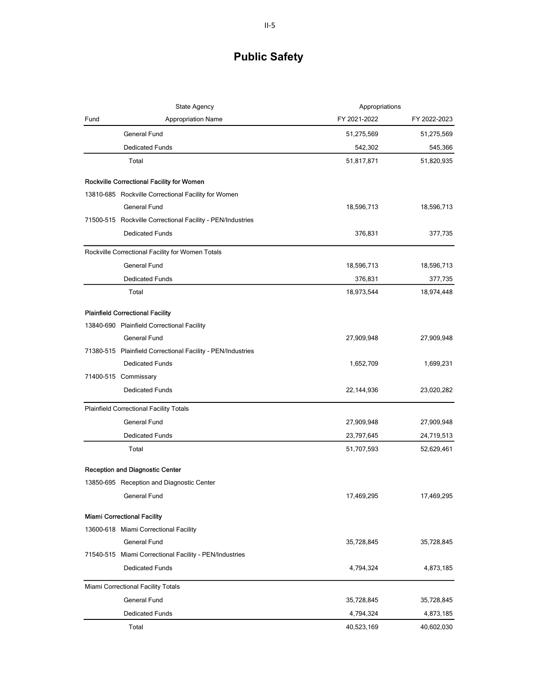|      | State Agency                                                | Appropriations |              |
|------|-------------------------------------------------------------|----------------|--------------|
| Fund | <b>Appropriation Name</b>                                   | FY 2021-2022   | FY 2022-2023 |
|      | <b>General Fund</b>                                         | 51,275,569     | 51,275,569   |
|      | <b>Dedicated Funds</b>                                      | 542,302        | 545,366      |
|      | Total                                                       | 51,817,871     | 51,820,935   |
|      | Rockville Correctional Facility for Women                   |                |              |
|      | 13810-685 Rockville Correctional Facility for Women         |                |              |
|      | <b>General Fund</b>                                         | 18,596,713     | 18,596,713   |
|      | 71500-515 Rockville Correctional Facility - PEN/Industries  |                |              |
|      | <b>Dedicated Funds</b>                                      | 376,831        | 377,735      |
|      | Rockville Correctional Facility for Women Totals            |                |              |
|      | <b>General Fund</b>                                         | 18,596,713     | 18,596,713   |
|      | <b>Dedicated Funds</b>                                      | 376,831        | 377,735      |
|      | Total                                                       | 18,973,544     | 18,974,448   |
|      | <b>Plainfield Correctional Facility</b>                     |                |              |
|      | 13840-690 Plainfield Correctional Facility                  |                |              |
|      | <b>General Fund</b>                                         | 27,909,948     | 27,909,948   |
|      | 71380-515 Plainfield Correctional Facility - PEN/Industries |                |              |
|      | <b>Dedicated Funds</b>                                      | 1,652,709      | 1,699,231    |
|      | 71400-515 Commissary                                        |                |              |
|      | <b>Dedicated Funds</b>                                      | 22,144,936     | 23,020,282   |
|      | Plainfield Correctional Facility Totals                     |                |              |
|      | <b>General Fund</b>                                         | 27,909,948     | 27,909,948   |
|      | <b>Dedicated Funds</b>                                      | 23,797,645     | 24,719,513   |
|      | Total                                                       | 51,707,593     | 52,629,461   |
|      | <b>Reception and Diagnostic Center</b>                      |                |              |
|      | 13850-695 Reception and Diagnostic Center                   |                |              |
|      | General Fund                                                | 17,469,295     | 17,469,295   |
|      | <b>Miami Correctional Facility</b>                          |                |              |
|      | 13600-618 Miami Correctional Facility                       |                |              |
|      | General Fund                                                | 35,728,845     | 35,728,845   |
|      | 71540-515 Miami Correctional Facility - PEN/Industries      |                |              |
|      | <b>Dedicated Funds</b>                                      | 4,794,324      | 4,873,185    |
|      | Miami Correctional Facility Totals                          |                |              |
|      | General Fund                                                | 35,728,845     | 35,728,845   |
|      | <b>Dedicated Funds</b>                                      | 4,794,324      | 4,873,185    |
|      | Total                                                       | 40,523,169     | 40,602,030   |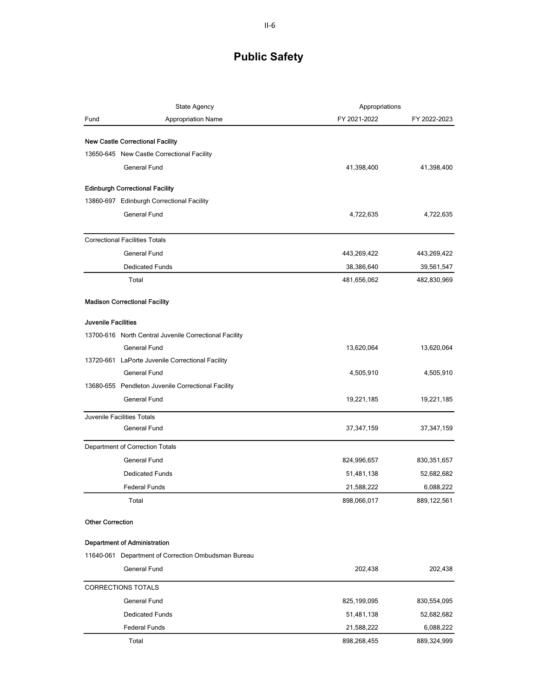|                         | <b>State Agency</b>                                    | Appropriations |               |
|-------------------------|--------------------------------------------------------|----------------|---------------|
| Fund                    | <b>Appropriation Name</b>                              | FY 2021-2022   | FY 2022-2023  |
|                         | <b>New Castle Correctional Facility</b>                |                |               |
|                         | 13650-645 New Castle Correctional Facility             |                |               |
|                         | <b>General Fund</b>                                    | 41,398,400     | 41,398,400    |
|                         |                                                        |                |               |
|                         | <b>Edinburgh Correctional Facility</b>                 |                |               |
|                         | 13860-697 Edinburgh Correctional Facility              |                |               |
|                         | General Fund                                           | 4,722,635      | 4,722,635     |
|                         | <b>Correctional Facilities Totals</b>                  |                |               |
|                         | General Fund                                           | 443,269,422    | 443,269,422   |
|                         | <b>Dedicated Funds</b>                                 | 38,386,640     | 39,561,547    |
|                         | Total                                                  | 481,656,062    | 482,830,969   |
|                         | <b>Madison Correctional Facility</b>                   |                |               |
| Juvenile Facilities     |                                                        |                |               |
|                         | 13700-616 North Central Juvenile Correctional Facility |                |               |
|                         | General Fund                                           | 13,620,064     | 13,620,064    |
|                         | 13720-661 LaPorte Juvenile Correctional Facility       |                |               |
|                         | <b>General Fund</b>                                    | 4,505,910      | 4,505,910     |
|                         | 13680-655 Pendleton Juvenile Correctional Facility     |                |               |
|                         | General Fund                                           | 19,221,185     | 19,221,185    |
|                         | Juvenile Facilities Totals                             |                |               |
|                         | General Fund                                           | 37,347,159     | 37,347,159    |
|                         | Department of Correction Totals                        |                |               |
|                         | General Fund                                           | 824,996,657    | 830, 351, 657 |
|                         | <b>Dedicated Funds</b>                                 | 51,481,138     | 52,682,682    |
|                         | <b>Federal Funds</b>                                   | 21,588,222     | 6,088,222     |
|                         | Total                                                  | 898,066,017    | 889,122,561   |
| <b>Other Correction</b> |                                                        |                |               |
|                         | <b>Department of Administration</b>                    |                |               |
|                         | 11640-061 Department of Correction Ombudsman Bureau    |                |               |
|                         | General Fund                                           | 202,438        | 202,438       |
|                         | <b>CORRECTIONS TOTALS</b>                              |                |               |
|                         | General Fund                                           | 825,199,095    | 830,554,095   |
|                         | <b>Dedicated Funds</b>                                 | 51,481,138     | 52,682,682    |
|                         | <b>Federal Funds</b>                                   | 21,588,222     | 6,088,222     |
|                         | Total                                                  | 898,268,455    | 889,324,999   |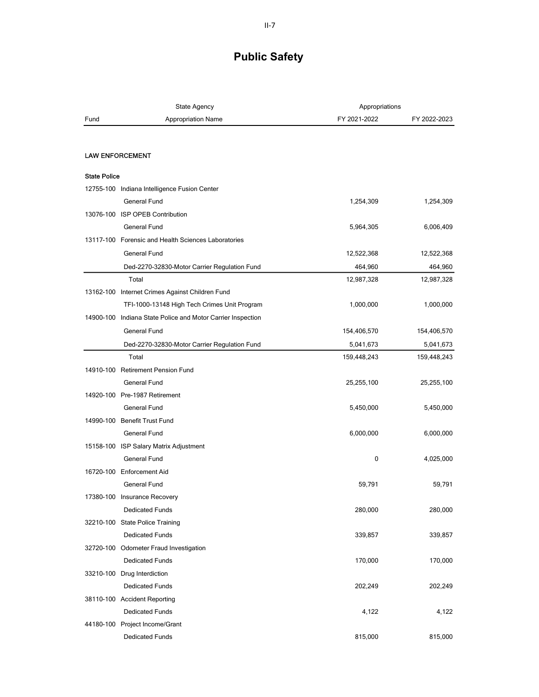|                     | <b>State Agency</b>                                         | Appropriations |              |
|---------------------|-------------------------------------------------------------|----------------|--------------|
| Fund                | <b>Appropriation Name</b>                                   | FY 2021-2022   | FY 2022-2023 |
|                     |                                                             |                |              |
|                     | <b>LAW ENFORCEMENT</b>                                      |                |              |
| <b>State Police</b> |                                                             |                |              |
|                     | 12755-100 Indiana Intelligence Fusion Center                |                |              |
|                     | <b>General Fund</b>                                         | 1,254,309      | 1,254,309    |
|                     | 13076-100 ISP OPEB Contribution                             |                |              |
|                     | General Fund                                                | 5,964,305      | 6,006,409    |
|                     | 13117-100 Forensic and Health Sciences Laboratories         |                |              |
|                     | General Fund                                                | 12,522,368     | 12,522,368   |
|                     | Ded-2270-32830-Motor Carrier Regulation Fund                | 464,960        | 464,960      |
|                     | Total                                                       | 12,987,328     | 12,987,328   |
|                     | 13162-100 Internet Crimes Against Children Fund             |                |              |
|                     | TFI-1000-13148 High Tech Crimes Unit Program                | 1,000,000      | 1,000,000    |
|                     | 14900-100 Indiana State Police and Motor Carrier Inspection |                |              |
|                     | General Fund                                                | 154,406,570    | 154,406,570  |
|                     | Ded-2270-32830-Motor Carrier Regulation Fund                | 5,041,673      | 5,041,673    |
|                     | Total                                                       | 159,448,243    | 159,448,243  |
|                     | 14910-100 Retirement Pension Fund                           |                |              |
|                     | General Fund                                                |                |              |
|                     | 14920-100 Pre-1987 Retirement                               | 25,255,100     | 25,255,100   |
|                     |                                                             |                |              |
|                     | General Fund                                                | 5,450,000      | 5,450,000    |
|                     | 14990-100 Benefit Trust Fund                                |                |              |
|                     | General Fund                                                | 6,000,000      | 6,000,000    |
|                     | 15158-100 ISP Salary Matrix Adjustment                      |                |              |
|                     | <b>General Fund</b>                                         | 0              | 4,025,000    |
|                     | 16720-100 Enforcement Aid                                   |                |              |
|                     | <b>General Fund</b>                                         | 59,791         | 59,791       |
|                     | 17380-100 Insurance Recovery                                |                |              |
|                     | <b>Dedicated Funds</b>                                      | 280,000        | 280,000      |
|                     | 32210-100 State Police Training                             |                |              |
|                     | <b>Dedicated Funds</b>                                      | 339,857        | 339,857      |
|                     | 32720-100 Odometer Fraud Investigation                      |                |              |
|                     | <b>Dedicated Funds</b>                                      | 170,000        | 170,000      |
|                     | 33210-100 Drug Interdiction                                 |                |              |
|                     | <b>Dedicated Funds</b>                                      | 202,249        | 202,249      |
|                     | 38110-100 Accident Reporting                                |                |              |
|                     | <b>Dedicated Funds</b>                                      | 4,122          | 4,122        |
|                     | 44180-100 Project Income/Grant                              |                |              |
|                     | <b>Dedicated Funds</b>                                      | 815,000        | 815,000      |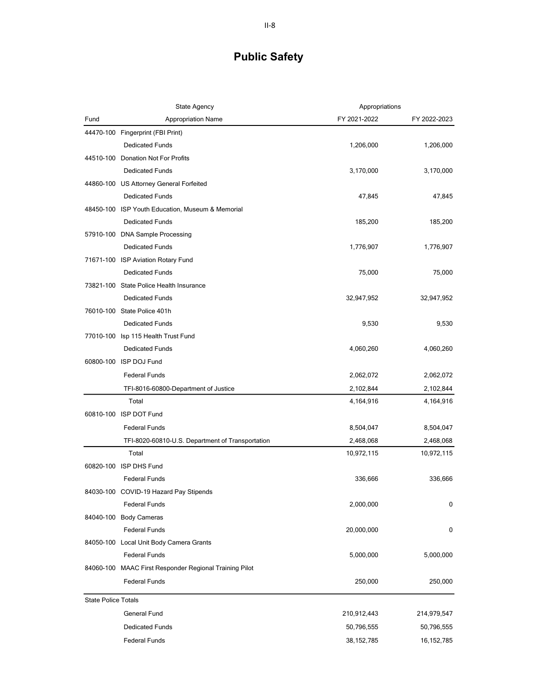| FY 2021-2022<br>Fund<br><b>Appropriation Name</b><br>FY 2022-2023<br>44470-100 Fingerprint (FBI Print)<br><b>Dedicated Funds</b><br>1,206,000<br>1,206,000<br>44510-100 Donation Not For Profits<br><b>Dedicated Funds</b><br>3,170,000<br>3,170,000<br>44860-100 US Attorney General Forfeited<br><b>Dedicated Funds</b><br>47,845<br>47,845<br>48450-100 ISP Youth Education, Museum & Memorial<br>185,200<br><b>Dedicated Funds</b><br>185,200<br>57910-100 DNA Sample Processing<br><b>Dedicated Funds</b><br>1,776,907<br>1,776,907<br>71671-100 ISP Aviation Rotary Fund<br>75,000<br><b>Dedicated Funds</b><br>75,000<br>73821-100 State Police Health Insurance<br><b>Dedicated Funds</b><br>32,947,952<br>32,947,952<br>76010-100 State Police 401h<br><b>Dedicated Funds</b><br>9,530<br>9,530<br>77010-100 Isp 115 Health Trust Fund<br>4,060,260<br><b>Dedicated Funds</b><br>4,060,260<br>60800-100 ISP DOJ Fund<br>2,062,072<br><b>Federal Funds</b><br>2,062,072<br>TFI-8016-60800-Department of Justice<br>2,102,844<br>2,102,844<br>Total<br>4,164,916<br>4,164,916<br>60810-100 ISP DOT Fund<br><b>Federal Funds</b><br>8,504,047<br>8,504,047<br>2,468,068<br>TFI-8020-60810-U.S. Department of Transportation<br>2,468,068<br>Total<br>10,972,115<br>10,972,115<br>60820-100 ISP DHS Fund<br><b>Federal Funds</b><br>336,666<br>336,666<br>84030-100 COVID-19 Hazard Pay Stipends<br><b>Federal Funds</b><br>2,000,000<br>0<br>84040-100 Body Cameras<br><b>Federal Funds</b><br>20,000,000<br>0<br>84050-100 Local Unit Body Camera Grants<br><b>Federal Funds</b><br>5,000,000<br>5,000,000<br>84060-100 MAAC First Responder Regional Training Pilot<br>Federal Funds<br>250,000<br>250,000<br><b>State Police Totals</b><br>General Fund<br>210,912,443<br>214,979,547<br><b>Dedicated Funds</b><br>50,796,555<br>50,796,555<br><b>Federal Funds</b><br>38, 152, 785<br>16, 152, 785 | <b>State Agency</b> | Appropriations |  |
|--------------------------------------------------------------------------------------------------------------------------------------------------------------------------------------------------------------------------------------------------------------------------------------------------------------------------------------------------------------------------------------------------------------------------------------------------------------------------------------------------------------------------------------------------------------------------------------------------------------------------------------------------------------------------------------------------------------------------------------------------------------------------------------------------------------------------------------------------------------------------------------------------------------------------------------------------------------------------------------------------------------------------------------------------------------------------------------------------------------------------------------------------------------------------------------------------------------------------------------------------------------------------------------------------------------------------------------------------------------------------------------------------------------------------------------------------------------------------------------------------------------------------------------------------------------------------------------------------------------------------------------------------------------------------------------------------------------------------------------------------------------------------------------------------------------------------------------------------------------------------------------------------------------|---------------------|----------------|--|
|                                                                                                                                                                                                                                                                                                                                                                                                                                                                                                                                                                                                                                                                                                                                                                                                                                                                                                                                                                                                                                                                                                                                                                                                                                                                                                                                                                                                                                                                                                                                                                                                                                                                                                                                                                                                                                                                                                              |                     |                |  |
|                                                                                                                                                                                                                                                                                                                                                                                                                                                                                                                                                                                                                                                                                                                                                                                                                                                                                                                                                                                                                                                                                                                                                                                                                                                                                                                                                                                                                                                                                                                                                                                                                                                                                                                                                                                                                                                                                                              |                     |                |  |
|                                                                                                                                                                                                                                                                                                                                                                                                                                                                                                                                                                                                                                                                                                                                                                                                                                                                                                                                                                                                                                                                                                                                                                                                                                                                                                                                                                                                                                                                                                                                                                                                                                                                                                                                                                                                                                                                                                              |                     |                |  |
|                                                                                                                                                                                                                                                                                                                                                                                                                                                                                                                                                                                                                                                                                                                                                                                                                                                                                                                                                                                                                                                                                                                                                                                                                                                                                                                                                                                                                                                                                                                                                                                                                                                                                                                                                                                                                                                                                                              |                     |                |  |
|                                                                                                                                                                                                                                                                                                                                                                                                                                                                                                                                                                                                                                                                                                                                                                                                                                                                                                                                                                                                                                                                                                                                                                                                                                                                                                                                                                                                                                                                                                                                                                                                                                                                                                                                                                                                                                                                                                              |                     |                |  |
|                                                                                                                                                                                                                                                                                                                                                                                                                                                                                                                                                                                                                                                                                                                                                                                                                                                                                                                                                                                                                                                                                                                                                                                                                                                                                                                                                                                                                                                                                                                                                                                                                                                                                                                                                                                                                                                                                                              |                     |                |  |
|                                                                                                                                                                                                                                                                                                                                                                                                                                                                                                                                                                                                                                                                                                                                                                                                                                                                                                                                                                                                                                                                                                                                                                                                                                                                                                                                                                                                                                                                                                                                                                                                                                                                                                                                                                                                                                                                                                              |                     |                |  |
|                                                                                                                                                                                                                                                                                                                                                                                                                                                                                                                                                                                                                                                                                                                                                                                                                                                                                                                                                                                                                                                                                                                                                                                                                                                                                                                                                                                                                                                                                                                                                                                                                                                                                                                                                                                                                                                                                                              |                     |                |  |
|                                                                                                                                                                                                                                                                                                                                                                                                                                                                                                                                                                                                                                                                                                                                                                                                                                                                                                                                                                                                                                                                                                                                                                                                                                                                                                                                                                                                                                                                                                                                                                                                                                                                                                                                                                                                                                                                                                              |                     |                |  |
|                                                                                                                                                                                                                                                                                                                                                                                                                                                                                                                                                                                                                                                                                                                                                                                                                                                                                                                                                                                                                                                                                                                                                                                                                                                                                                                                                                                                                                                                                                                                                                                                                                                                                                                                                                                                                                                                                                              |                     |                |  |
|                                                                                                                                                                                                                                                                                                                                                                                                                                                                                                                                                                                                                                                                                                                                                                                                                                                                                                                                                                                                                                                                                                                                                                                                                                                                                                                                                                                                                                                                                                                                                                                                                                                                                                                                                                                                                                                                                                              |                     |                |  |
|                                                                                                                                                                                                                                                                                                                                                                                                                                                                                                                                                                                                                                                                                                                                                                                                                                                                                                                                                                                                                                                                                                                                                                                                                                                                                                                                                                                                                                                                                                                                                                                                                                                                                                                                                                                                                                                                                                              |                     |                |  |
|                                                                                                                                                                                                                                                                                                                                                                                                                                                                                                                                                                                                                                                                                                                                                                                                                                                                                                                                                                                                                                                                                                                                                                                                                                                                                                                                                                                                                                                                                                                                                                                                                                                                                                                                                                                                                                                                                                              |                     |                |  |
|                                                                                                                                                                                                                                                                                                                                                                                                                                                                                                                                                                                                                                                                                                                                                                                                                                                                                                                                                                                                                                                                                                                                                                                                                                                                                                                                                                                                                                                                                                                                                                                                                                                                                                                                                                                                                                                                                                              |                     |                |  |
|                                                                                                                                                                                                                                                                                                                                                                                                                                                                                                                                                                                                                                                                                                                                                                                                                                                                                                                                                                                                                                                                                                                                                                                                                                                                                                                                                                                                                                                                                                                                                                                                                                                                                                                                                                                                                                                                                                              |                     |                |  |
|                                                                                                                                                                                                                                                                                                                                                                                                                                                                                                                                                                                                                                                                                                                                                                                                                                                                                                                                                                                                                                                                                                                                                                                                                                                                                                                                                                                                                                                                                                                                                                                                                                                                                                                                                                                                                                                                                                              |                     |                |  |
|                                                                                                                                                                                                                                                                                                                                                                                                                                                                                                                                                                                                                                                                                                                                                                                                                                                                                                                                                                                                                                                                                                                                                                                                                                                                                                                                                                                                                                                                                                                                                                                                                                                                                                                                                                                                                                                                                                              |                     |                |  |
|                                                                                                                                                                                                                                                                                                                                                                                                                                                                                                                                                                                                                                                                                                                                                                                                                                                                                                                                                                                                                                                                                                                                                                                                                                                                                                                                                                                                                                                                                                                                                                                                                                                                                                                                                                                                                                                                                                              |                     |                |  |
|                                                                                                                                                                                                                                                                                                                                                                                                                                                                                                                                                                                                                                                                                                                                                                                                                                                                                                                                                                                                                                                                                                                                                                                                                                                                                                                                                                                                                                                                                                                                                                                                                                                                                                                                                                                                                                                                                                              |                     |                |  |
|                                                                                                                                                                                                                                                                                                                                                                                                                                                                                                                                                                                                                                                                                                                                                                                                                                                                                                                                                                                                                                                                                                                                                                                                                                                                                                                                                                                                                                                                                                                                                                                                                                                                                                                                                                                                                                                                                                              |                     |                |  |
|                                                                                                                                                                                                                                                                                                                                                                                                                                                                                                                                                                                                                                                                                                                                                                                                                                                                                                                                                                                                                                                                                                                                                                                                                                                                                                                                                                                                                                                                                                                                                                                                                                                                                                                                                                                                                                                                                                              |                     |                |  |
|                                                                                                                                                                                                                                                                                                                                                                                                                                                                                                                                                                                                                                                                                                                                                                                                                                                                                                                                                                                                                                                                                                                                                                                                                                                                                                                                                                                                                                                                                                                                                                                                                                                                                                                                                                                                                                                                                                              |                     |                |  |
|                                                                                                                                                                                                                                                                                                                                                                                                                                                                                                                                                                                                                                                                                                                                                                                                                                                                                                                                                                                                                                                                                                                                                                                                                                                                                                                                                                                                                                                                                                                                                                                                                                                                                                                                                                                                                                                                                                              |                     |                |  |
|                                                                                                                                                                                                                                                                                                                                                                                                                                                                                                                                                                                                                                                                                                                                                                                                                                                                                                                                                                                                                                                                                                                                                                                                                                                                                                                                                                                                                                                                                                                                                                                                                                                                                                                                                                                                                                                                                                              |                     |                |  |
|                                                                                                                                                                                                                                                                                                                                                                                                                                                                                                                                                                                                                                                                                                                                                                                                                                                                                                                                                                                                                                                                                                                                                                                                                                                                                                                                                                                                                                                                                                                                                                                                                                                                                                                                                                                                                                                                                                              |                     |                |  |
|                                                                                                                                                                                                                                                                                                                                                                                                                                                                                                                                                                                                                                                                                                                                                                                                                                                                                                                                                                                                                                                                                                                                                                                                                                                                                                                                                                                                                                                                                                                                                                                                                                                                                                                                                                                                                                                                                                              |                     |                |  |
|                                                                                                                                                                                                                                                                                                                                                                                                                                                                                                                                                                                                                                                                                                                                                                                                                                                                                                                                                                                                                                                                                                                                                                                                                                                                                                                                                                                                                                                                                                                                                                                                                                                                                                                                                                                                                                                                                                              |                     |                |  |
|                                                                                                                                                                                                                                                                                                                                                                                                                                                                                                                                                                                                                                                                                                                                                                                                                                                                                                                                                                                                                                                                                                                                                                                                                                                                                                                                                                                                                                                                                                                                                                                                                                                                                                                                                                                                                                                                                                              |                     |                |  |
|                                                                                                                                                                                                                                                                                                                                                                                                                                                                                                                                                                                                                                                                                                                                                                                                                                                                                                                                                                                                                                                                                                                                                                                                                                                                                                                                                                                                                                                                                                                                                                                                                                                                                                                                                                                                                                                                                                              |                     |                |  |
|                                                                                                                                                                                                                                                                                                                                                                                                                                                                                                                                                                                                                                                                                                                                                                                                                                                                                                                                                                                                                                                                                                                                                                                                                                                                                                                                                                                                                                                                                                                                                                                                                                                                                                                                                                                                                                                                                                              |                     |                |  |
|                                                                                                                                                                                                                                                                                                                                                                                                                                                                                                                                                                                                                                                                                                                                                                                                                                                                                                                                                                                                                                                                                                                                                                                                                                                                                                                                                                                                                                                                                                                                                                                                                                                                                                                                                                                                                                                                                                              |                     |                |  |
|                                                                                                                                                                                                                                                                                                                                                                                                                                                                                                                                                                                                                                                                                                                                                                                                                                                                                                                                                                                                                                                                                                                                                                                                                                                                                                                                                                                                                                                                                                                                                                                                                                                                                                                                                                                                                                                                                                              |                     |                |  |
|                                                                                                                                                                                                                                                                                                                                                                                                                                                                                                                                                                                                                                                                                                                                                                                                                                                                                                                                                                                                                                                                                                                                                                                                                                                                                                                                                                                                                                                                                                                                                                                                                                                                                                                                                                                                                                                                                                              |                     |                |  |
|                                                                                                                                                                                                                                                                                                                                                                                                                                                                                                                                                                                                                                                                                                                                                                                                                                                                                                                                                                                                                                                                                                                                                                                                                                                                                                                                                                                                                                                                                                                                                                                                                                                                                                                                                                                                                                                                                                              |                     |                |  |
|                                                                                                                                                                                                                                                                                                                                                                                                                                                                                                                                                                                                                                                                                                                                                                                                                                                                                                                                                                                                                                                                                                                                                                                                                                                                                                                                                                                                                                                                                                                                                                                                                                                                                                                                                                                                                                                                                                              |                     |                |  |
|                                                                                                                                                                                                                                                                                                                                                                                                                                                                                                                                                                                                                                                                                                                                                                                                                                                                                                                                                                                                                                                                                                                                                                                                                                                                                                                                                                                                                                                                                                                                                                                                                                                                                                                                                                                                                                                                                                              |                     |                |  |
|                                                                                                                                                                                                                                                                                                                                                                                                                                                                                                                                                                                                                                                                                                                                                                                                                                                                                                                                                                                                                                                                                                                                                                                                                                                                                                                                                                                                                                                                                                                                                                                                                                                                                                                                                                                                                                                                                                              |                     |                |  |
|                                                                                                                                                                                                                                                                                                                                                                                                                                                                                                                                                                                                                                                                                                                                                                                                                                                                                                                                                                                                                                                                                                                                                                                                                                                                                                                                                                                                                                                                                                                                                                                                                                                                                                                                                                                                                                                                                                              |                     |                |  |
|                                                                                                                                                                                                                                                                                                                                                                                                                                                                                                                                                                                                                                                                                                                                                                                                                                                                                                                                                                                                                                                                                                                                                                                                                                                                                                                                                                                                                                                                                                                                                                                                                                                                                                                                                                                                                                                                                                              |                     |                |  |
|                                                                                                                                                                                                                                                                                                                                                                                                                                                                                                                                                                                                                                                                                                                                                                                                                                                                                                                                                                                                                                                                                                                                                                                                                                                                                                                                                                                                                                                                                                                                                                                                                                                                                                                                                                                                                                                                                                              |                     |                |  |
|                                                                                                                                                                                                                                                                                                                                                                                                                                                                                                                                                                                                                                                                                                                                                                                                                                                                                                                                                                                                                                                                                                                                                                                                                                                                                                                                                                                                                                                                                                                                                                                                                                                                                                                                                                                                                                                                                                              |                     |                |  |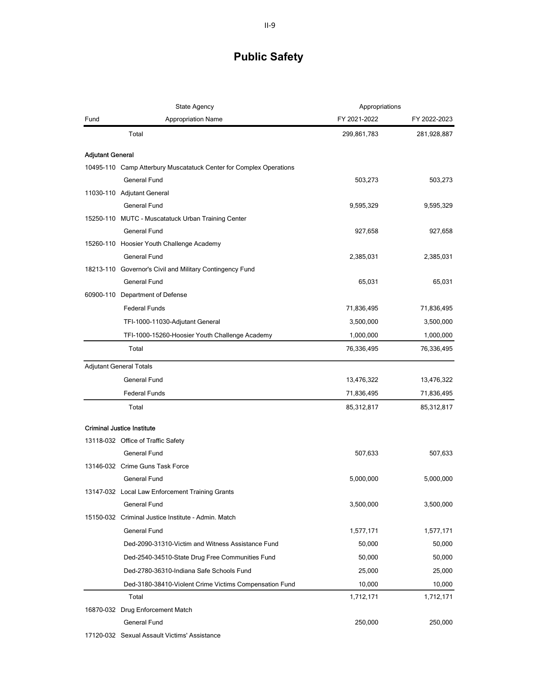|                         | State Agency                                                                              | Appropriations |              |
|-------------------------|-------------------------------------------------------------------------------------------|----------------|--------------|
| Fund                    | <b>Appropriation Name</b>                                                                 | FY 2021-2022   | FY 2022-2023 |
|                         | Total                                                                                     | 299,861,783    | 281,928,887  |
|                         |                                                                                           |                |              |
| <b>Adjutant General</b> |                                                                                           |                |              |
|                         | 10495-110 Camp Atterbury Muscatatuck Center for Complex Operations<br><b>General Fund</b> | 503,273        |              |
|                         | 11030-110 Adjutant General                                                                |                | 503,273      |
|                         | <b>General Fund</b>                                                                       | 9,595,329      | 9,595,329    |
|                         | 15250-110 MUTC - Muscatatuck Urban Training Center                                        |                |              |
|                         | <b>General Fund</b>                                                                       | 927,658        | 927,658      |
|                         | 15260-110 Hoosier Youth Challenge Academy                                                 |                |              |
|                         | <b>General Fund</b>                                                                       | 2,385,031      | 2,385,031    |
|                         | 18213-110 Governor's Civil and Military Contingency Fund                                  |                |              |
|                         | General Fund                                                                              | 65,031         | 65,031       |
|                         | 60900-110 Department of Defense                                                           |                |              |
|                         | <b>Federal Funds</b>                                                                      | 71,836,495     | 71,836,495   |
|                         | TFI-1000-11030-Adjutant General                                                           | 3,500,000      | 3,500,000    |
|                         | TFI-1000-15260-Hoosier Youth Challenge Academy                                            | 1,000,000      | 1,000,000    |
|                         | Total                                                                                     | 76,336,495     | 76,336,495   |
|                         |                                                                                           |                |              |
|                         | <b>Adjutant General Totals</b>                                                            |                |              |
|                         | <b>General Fund</b>                                                                       | 13,476,322     | 13,476,322   |
|                         | <b>Federal Funds</b>                                                                      | 71,836,495     | 71,836,495   |
|                         | Total                                                                                     | 85,312,817     | 85,312,817   |
|                         | <b>Criminal Justice Institute</b>                                                         |                |              |
|                         | 13118-032 Office of Traffic Safety                                                        |                |              |
|                         | <b>General Fund</b>                                                                       | 507,633        | 507,633      |
|                         | 13146-032 Crime Guns Task Force                                                           |                |              |
|                         | General Fund                                                                              | 5,000,000      | 5,000,000    |
|                         | 13147-032 Local Law Enforcement Training Grants                                           |                |              |
|                         | <b>General Fund</b>                                                                       | 3,500,000      | 3,500,000    |
|                         | 15150-032 Criminal Justice Institute - Admin. Match                                       |                |              |
|                         | General Fund                                                                              | 1,577,171      | 1,577,171    |
|                         | Ded-2090-31310-Victim and Witness Assistance Fund                                         | 50,000         | 50,000       |
|                         | Ded-2540-34510-State Drug Free Communities Fund                                           | 50,000         | 50,000       |
|                         | Ded-2780-36310-Indiana Safe Schools Fund                                                  | 25,000         | 25,000       |
|                         | Ded-3180-38410-Violent Crime Victims Compensation Fund                                    | 10,000         | 10,000       |
|                         | Total                                                                                     | 1,712,171      | 1,712,171    |
|                         | 16870-032 Drug Enforcement Match                                                          |                |              |
|                         | General Fund                                                                              | 250,000        | 250,000      |
|                         |                                                                                           |                |              |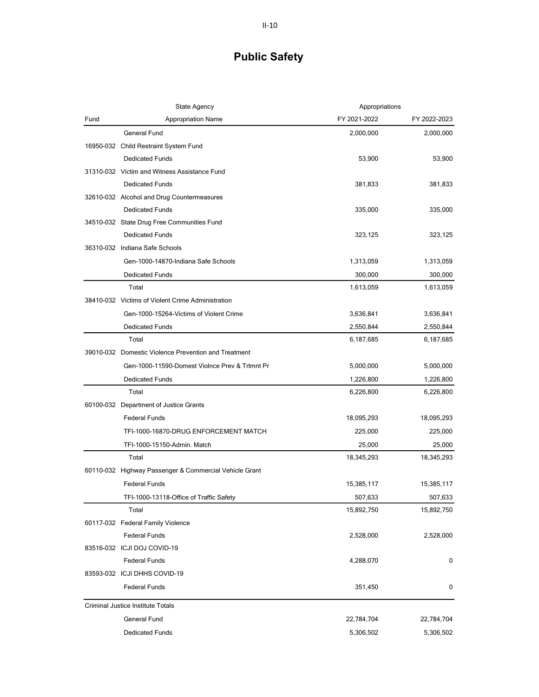|      | State Agency                                           | Appropriations |              |
|------|--------------------------------------------------------|----------------|--------------|
| Fund | <b>Appropriation Name</b>                              | FY 2021-2022   | FY 2022-2023 |
|      | <b>General Fund</b>                                    | 2,000,000      | 2,000,000    |
|      | 16950-032 Child Restraint System Fund                  |                |              |
|      | <b>Dedicated Funds</b>                                 | 53,900         | 53,900       |
|      | 31310-032 Victim and Witness Assistance Fund           |                |              |
|      | <b>Dedicated Funds</b>                                 | 381,833        | 381,833      |
|      | 32610-032 Alcohol and Drug Countermeasures             |                |              |
|      | <b>Dedicated Funds</b>                                 | 335,000        | 335,000      |
|      | 34510-032 State Drug Free Communities Fund             |                |              |
|      | <b>Dedicated Funds</b>                                 | 323,125        | 323,125      |
|      | 36310-032 Indiana Safe Schools                         |                |              |
|      | Gen-1000-14870-Indiana Safe Schools                    | 1,313,059      | 1,313,059    |
|      | <b>Dedicated Funds</b>                                 | 300,000        | 300,000      |
|      | Total                                                  | 1,613,059      | 1,613,059    |
|      | 38410-032 Victims of Violent Crime Administration      |                |              |
|      | Gen-1000-15264-Victims of Violent Crime                | 3,636,841      | 3,636,841    |
|      | <b>Dedicated Funds</b>                                 | 2,550,844      | 2,550,844    |
|      | Total                                                  | 6,187,685      | 6,187,685    |
|      | 39010-032 Domestic Violence Prevention and Treatment   |                |              |
|      | Gen-1000-11590-Domest Violnce Prev & Trtmnt Pr         | 5,000,000      | 5,000,000    |
|      | <b>Dedicated Funds</b>                                 | 1,226,800      | 1,226,800    |
|      | Total                                                  | 6,226,800      | 6,226,800    |
|      | 60100-032 Department of Justice Grants                 |                |              |
|      | <b>Federal Funds</b>                                   | 18,095,293     | 18,095,293   |
|      | TFI-1000-16870-DRUG ENFORCEMENT MATCH                  | 225,000        | 225,000      |
|      | TFI-1000-15150-Admin. Match                            | 25,000         | 25,000       |
|      | Total                                                  | 18,345,293     | 18,345,293   |
|      | 60110-032 Highway Passenger & Commercial Vehicle Grant |                |              |
|      | <b>Federal Funds</b>                                   | 15,385,117     | 15,385,117   |
|      | TFI-1000-13118-Office of Traffic Safety                | 507,633        | 507,633      |
|      | Total                                                  | 15,892,750     | 15,892,750   |
|      | 60117-032 Federal Family Violence                      |                |              |
|      | <b>Federal Funds</b>                                   | 2,528,000      | 2,528,000    |
|      | 83516-032 ICJI DOJ COVID-19                            |                |              |
|      | <b>Federal Funds</b>                                   | 4,288,070      | 0            |
|      | 83593-032 ICJI DHHS COVID-19                           |                |              |
|      | <b>Federal Funds</b>                                   | 351,450        | 0            |
|      | Criminal Justice Institute Totals                      |                |              |
|      | General Fund                                           | 22,784,704     | 22,784,704   |
|      | <b>Dedicated Funds</b>                                 | 5,306,502      | 5,306,502    |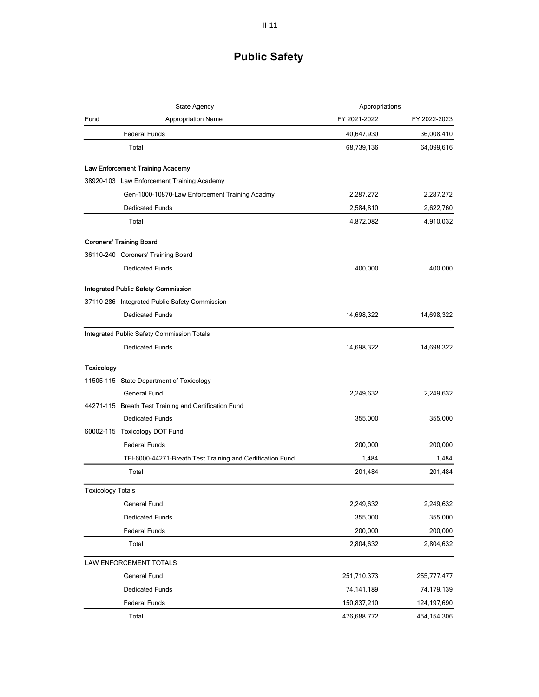| State Agency             |                                                            | Appropriations |               |
|--------------------------|------------------------------------------------------------|----------------|---------------|
| Fund                     | <b>Appropriation Name</b>                                  | FY 2021-2022   | FY 2022-2023  |
|                          | <b>Federal Funds</b>                                       | 40,647,930     | 36,008,410    |
|                          | Total                                                      | 68,739,136     | 64,099,616    |
|                          | Law Enforcement Training Academy                           |                |               |
|                          | 38920-103 Law Enforcement Training Academy                 |                |               |
|                          | Gen-1000-10870-Law Enforcement Training Acadmy             | 2,287,272      | 2,287,272     |
|                          | <b>Dedicated Funds</b>                                     | 2,584,810      | 2,622,760     |
|                          | Total                                                      | 4,872,082      | 4,910,032     |
|                          | <b>Coroners' Training Board</b>                            |                |               |
|                          | 36110-240 Coroners' Training Board                         |                |               |
|                          | <b>Dedicated Funds</b>                                     | 400,000        | 400,000       |
|                          | <b>Integrated Public Safety Commission</b>                 |                |               |
|                          | 37110-286 Integrated Public Safety Commission              |                |               |
|                          | <b>Dedicated Funds</b>                                     | 14,698,322     | 14,698,322    |
|                          | Integrated Public Safety Commission Totals                 |                |               |
|                          | <b>Dedicated Funds</b>                                     | 14,698,322     | 14,698,322    |
| Toxicology               |                                                            |                |               |
|                          | 11505-115 State Department of Toxicology                   |                |               |
|                          | <b>General Fund</b>                                        | 2,249,632      | 2,249,632     |
|                          | 44271-115 Breath Test Training and Certification Fund      |                |               |
|                          | <b>Dedicated Funds</b>                                     | 355,000        | 355,000       |
|                          | 60002-115 Toxicology DOT Fund                              |                |               |
|                          | <b>Federal Funds</b>                                       | 200,000        | 200,000       |
|                          | TFI-6000-44271-Breath Test Training and Certification Fund | 1,484          | 1,484         |
|                          | Total                                                      | 201,484        | 201,484       |
| <b>Toxicology Totals</b> |                                                            |                |               |
|                          | General Fund                                               | 2,249,632      | 2,249,632     |
|                          | <b>Dedicated Funds</b>                                     | 355,000        | 355,000       |
|                          | <b>Federal Funds</b>                                       | 200,000        | 200,000       |
|                          | Total                                                      | 2,804,632      | 2,804,632     |
|                          | LAW ENFORCEMENT TOTALS                                     |                |               |
|                          | General Fund                                               | 251,710,373    | 255,777,477   |
|                          | <b>Dedicated Funds</b>                                     | 74, 141, 189   | 74,179,139    |
|                          | <b>Federal Funds</b>                                       | 150,837,210    | 124, 197, 690 |
|                          | Total                                                      | 476,688,772    | 454,154,306   |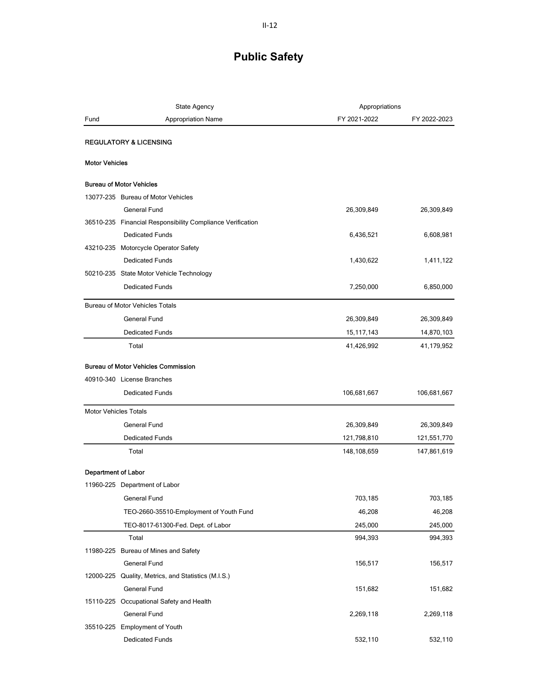|                       | State Agency                                               | Appropriations |              |
|-----------------------|------------------------------------------------------------|----------------|--------------|
| Fund                  | <b>Appropriation Name</b>                                  | FY 2021-2022   | FY 2022-2023 |
|                       | <b>REGULATORY &amp; LICENSING</b>                          |                |              |
| <b>Motor Vehicles</b> |                                                            |                |              |
|                       |                                                            |                |              |
|                       | <b>Bureau of Motor Vehicles</b>                            |                |              |
|                       | 13077-235 Bureau of Motor Vehicles                         |                |              |
|                       | <b>General Fund</b>                                        | 26,309,849     | 26,309,849   |
|                       | 36510-235 Financial Responsibility Compliance Verification |                |              |
|                       | <b>Dedicated Funds</b>                                     | 6,436,521      | 6,608,981    |
|                       | 43210-235 Motorcycle Operator Safety                       |                |              |
|                       | <b>Dedicated Funds</b>                                     | 1,430,622      | 1,411,122    |
|                       | 50210-235 State Motor Vehicle Technology                   |                |              |
|                       | <b>Dedicated Funds</b>                                     | 7,250,000      | 6,850,000    |
|                       | <b>Bureau of Motor Vehicles Totals</b>                     |                |              |
|                       | <b>General Fund</b>                                        | 26,309,849     | 26,309,849   |
|                       | <b>Dedicated Funds</b>                                     | 15, 117, 143   | 14,870,103   |
|                       | Total                                                      | 41,426,992     | 41,179,952   |
|                       | <b>Bureau of Motor Vehicles Commission</b>                 |                |              |
|                       | 40910-340 License Branches                                 |                |              |
|                       | <b>Dedicated Funds</b>                                     | 106,681,667    | 106,681,667  |
|                       | <b>Motor Vehicles Totals</b>                               |                |              |
|                       | General Fund                                               | 26,309,849     | 26,309,849   |
|                       | <b>Dedicated Funds</b>                                     | 121,798,810    | 121,551,770  |
|                       | Total                                                      | 148,108,659    | 147,861,619  |
|                       | <b>Department of Labor</b>                                 |                |              |
|                       | 11960-225 Department of Labor                              |                |              |
|                       | General Fund                                               | 703,185        | 703,185      |
|                       |                                                            | 46,208         | 46,208       |
|                       | TEO-2660-35510-Employment of Youth Fund                    |                |              |
|                       | TEO-8017-61300-Fed. Dept. of Labor                         | 245,000        | 245,000      |
|                       | Total                                                      | 994,393        | 994,393      |
|                       | 11980-225 Bureau of Mines and Safety                       |                |              |
|                       | General Fund                                               | 156,517        | 156,517      |
|                       | 12000-225 Quality, Metrics, and Statistics (M.I.S.)        |                |              |
|                       | General Fund                                               | 151,682        | 151,682      |
|                       | 15110-225 Occupational Safety and Health                   |                |              |
|                       | General Fund                                               | 2,269,118      | 2,269,118    |
|                       | 35510-225 Employment of Youth                              |                |              |
|                       | <b>Dedicated Funds</b>                                     | 532,110        | 532,110      |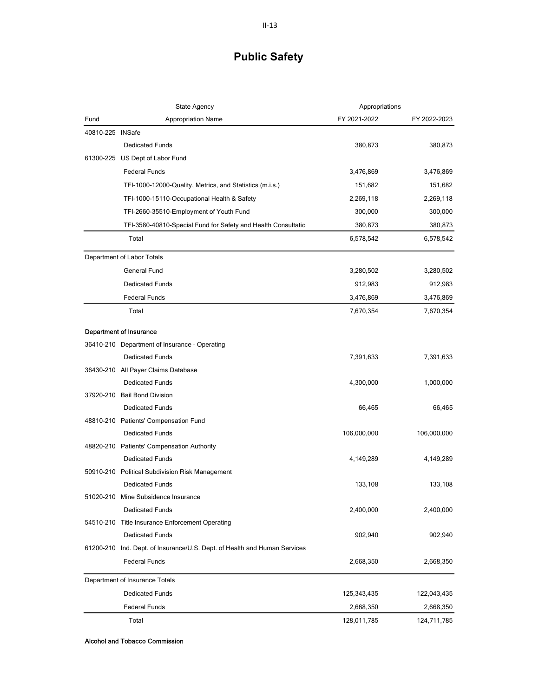|                  | <b>State Agency</b>                                             | Appropriations |              |
|------------------|-----------------------------------------------------------------|----------------|--------------|
| Fund             | <b>Appropriation Name</b>                                       | FY 2021-2022   | FY 2022-2023 |
| 40810-225 INSafe |                                                                 |                |              |
|                  | <b>Dedicated Funds</b>                                          | 380,873        | 380,873      |
| 61300-225        | US Dept of Labor Fund                                           |                |              |
|                  | <b>Federal Funds</b>                                            | 3,476,869      | 3,476,869    |
|                  | TFI-1000-12000-Quality, Metrics, and Statistics (m.i.s.)        | 151,682        | 151,682      |
|                  | TFI-1000-15110-Occupational Health & Safety                     | 2,269,118      | 2,269,118    |
|                  | TFI-2660-35510-Employment of Youth Fund                         | 300,000        | 300,000      |
|                  | TFI-3580-40810-Special Fund for Safety and Health Consultatio   | 380,873        | 380,873      |
|                  | Total                                                           | 6,578,542      | 6,578,542    |
|                  | Department of Labor Totals                                      |                |              |
|                  | General Fund                                                    | 3,280,502      | 3,280,502    |
|                  | <b>Dedicated Funds</b>                                          | 912,983        | 912,983      |
|                  | <b>Federal Funds</b>                                            | 3,476,869      | 3,476,869    |
|                  | Total                                                           | 7,670,354      | 7,670,354    |
|                  | <b>Department of Insurance</b>                                  |                |              |
|                  | 36410-210 Department of Insurance - Operating                   |                |              |
|                  | <b>Dedicated Funds</b>                                          | 7,391,633      | 7,391,633    |
|                  | 36430-210 All Payer Claims Database                             |                |              |
|                  | <b>Dedicated Funds</b>                                          | 4,300,000      | 1,000,000    |
|                  | 37920-210 Bail Bond Division                                    |                |              |
|                  | <b>Dedicated Funds</b>                                          | 66,465         | 66,465       |
|                  | 48810-210 Patients' Compensation Fund                           |                |              |
|                  | <b>Dedicated Funds</b>                                          | 106,000,000    | 106,000,000  |
|                  | 48820-210 Patients' Compensation Authority                      |                |              |
|                  | <b>Dedicated Funds</b>                                          | 4,149,289      | 4,149,289    |
|                  | 50910-210 Political Subdivision Risk Management                 |                |              |
|                  | <b>Dedicated Funds</b>                                          | 133,108        | 133,108      |
|                  | 51020-210 Mine Subsidence Insurance                             |                |              |
|                  | Dedicated Funds                                                 | 2,400,000      | 2,400,000    |
|                  | 54510-210 Title Insurance Enforcement Operating                 |                |              |
|                  | Dedicated Funds                                                 | 902,940        | 902,940      |
| 61200-210        | Ind. Dept. of Insurance/U.S. Dept. of Health and Human Services |                |              |
|                  | <b>Federal Funds</b>                                            | 2,668,350      | 2,668,350    |
|                  | Department of Insurance Totals                                  |                |              |
|                  | <b>Dedicated Funds</b>                                          | 125,343,435    | 122,043,435  |
|                  | <b>Federal Funds</b>                                            | 2,668,350      | 2,668,350    |
|                  | Total                                                           | 128,011,785    | 124,711,785  |

Alcohol and Tobacco Commission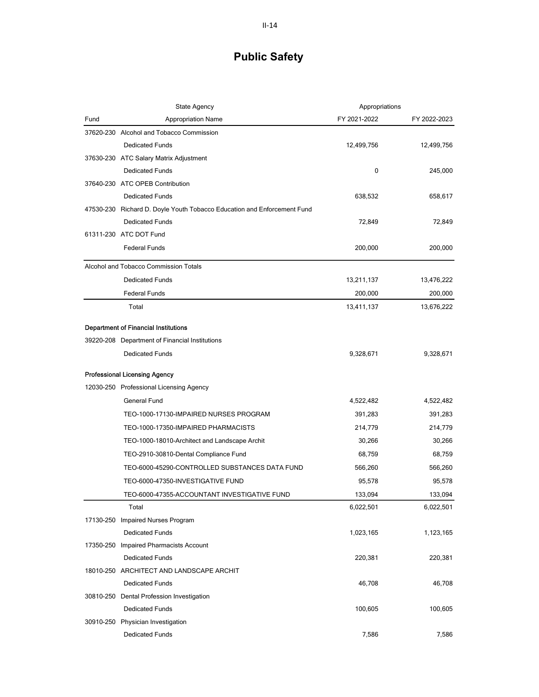|           | <b>State Agency</b>                                                     | Appropriations |              |
|-----------|-------------------------------------------------------------------------|----------------|--------------|
| Fund      | <b>Appropriation Name</b>                                               | FY 2021-2022   | FY 2022-2023 |
|           | 37620-230 Alcohol and Tobacco Commission                                |                |              |
|           | <b>Dedicated Funds</b>                                                  | 12,499,756     | 12,499,756   |
|           | 37630-230 ATC Salary Matrix Adjustment                                  |                |              |
|           | <b>Dedicated Funds</b>                                                  | 0              | 245,000      |
|           | 37640-230 ATC OPEB Contribution                                         |                |              |
|           | <b>Dedicated Funds</b>                                                  | 638,532        | 658,617      |
|           | 47530-230 Richard D. Doyle Youth Tobacco Education and Enforcement Fund |                |              |
|           | <b>Dedicated Funds</b>                                                  | 72,849         | 72,849       |
|           | 61311-230 ATC DOT Fund                                                  |                |              |
|           | <b>Federal Funds</b>                                                    | 200,000        | 200,000      |
|           | Alcohol and Tobacco Commission Totals                                   |                |              |
|           | <b>Dedicated Funds</b>                                                  | 13,211,137     | 13,476,222   |
|           | <b>Federal Funds</b>                                                    | 200,000        | 200,000      |
|           | Total                                                                   | 13,411,137     | 13,676,222   |
|           | <b>Department of Financial Institutions</b>                             |                |              |
|           | 39220-208 Department of Financial Institutions                          |                |              |
|           | <b>Dedicated Funds</b>                                                  | 9,328,671      | 9,328,671    |
|           |                                                                         |                |              |
|           | <b>Professional Licensing Agency</b>                                    |                |              |
|           | 12030-250 Professional Licensing Agency                                 |                |              |
|           | <b>General Fund</b>                                                     | 4,522,482      | 4,522,482    |
|           | TEO-1000-17130-IMPAIRED NURSES PROGRAM                                  | 391,283        | 391,283      |
|           | TEO-1000-17350-IMPAIRED PHARMACISTS                                     | 214,779        | 214,779      |
|           | TEO-1000-18010-Architect and Landscape Archit                           | 30,266         | 30,266       |
|           | TEO-2910-30810-Dental Compliance Fund                                   | 68,759         | 68,759       |
|           | TEO-6000-45290-CONTROLLED SUBSTANCES DATA FUND                          | 566,260        | 566,260      |
|           | TEO-6000-47350-INVESTIGATIVE FUND                                       | 95,578         | 95,578       |
|           | TEO-6000-47355-ACCOUNTANT INVESTIGATIVE FUND                            | 133,094        | 133,094      |
|           | Total                                                                   | 6,022,501      | 6,022,501    |
|           | 17130-250 Impaired Nurses Program                                       |                |              |
|           | <b>Dedicated Funds</b>                                                  | 1,023,165      | 1,123,165    |
| 17350-250 | <b>Impaired Pharmacists Account</b>                                     |                |              |
|           | <b>Dedicated Funds</b>                                                  | 220,381        | 220,381      |
|           | 18010-250 ARCHITECT AND LANDSCAPE ARCHIT                                |                |              |
|           | <b>Dedicated Funds</b>                                                  | 46,708         | 46,708       |
| 30810-250 | Dental Profession Investigation                                         |                |              |
|           | <b>Dedicated Funds</b>                                                  | 100,605        | 100,605      |
|           | 30910-250 Physician Investigation                                       |                |              |
|           | Dedicated Funds                                                         | 7,586          | 7,586        |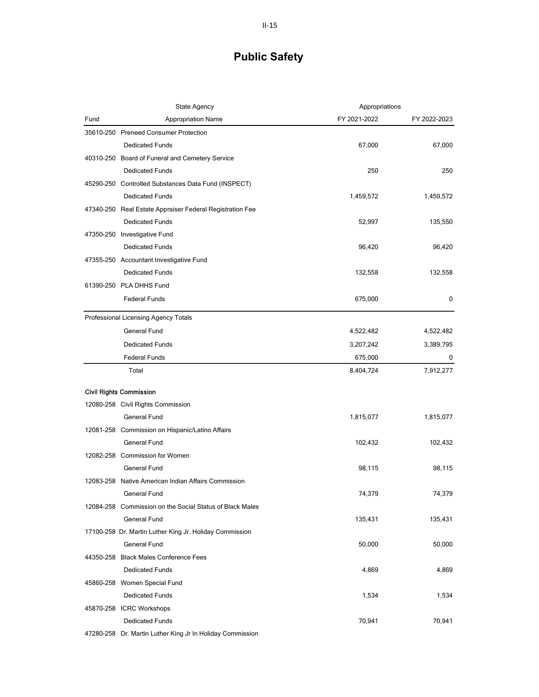|      | <b>State Agency</b>                                       | Appropriations |              |
|------|-----------------------------------------------------------|----------------|--------------|
| Fund | <b>Appropriation Name</b>                                 | FY 2021-2022   | FY 2022-2023 |
|      | 35610-250 Preneed Consumer Protection                     |                |              |
|      | <b>Dedicated Funds</b>                                    | 67,000         | 67,000       |
|      | 40310-250 Board of Funeral and Cemetery Service           |                |              |
|      | <b>Dedicated Funds</b>                                    | 250            | 250          |
|      | 45290-250 Controlled Substances Data Fund (INSPECT)       |                |              |
|      | <b>Dedicated Funds</b>                                    | 1,459,572      | 1,459,572    |
|      | 47340-250 Real Estate Appraiser Federal Registration Fee  |                |              |
|      | <b>Dedicated Funds</b>                                    | 52,997         | 135,550      |
|      | 47350-250 Investigative Fund                              |                |              |
|      | <b>Dedicated Funds</b>                                    | 96,420         | 96,420       |
|      | 47355-250 Accountant Investigative Fund                   |                |              |
|      | <b>Dedicated Funds</b>                                    | 132,558        | 132,558      |
|      | 61390-250 PLA DHHS Fund                                   |                |              |
|      | <b>Federal Funds</b>                                      | 675,000        | 0            |
|      | Professional Licensing Agency Totals                      |                |              |
|      | General Fund                                              | 4,522,482      | 4,522,482    |
|      | <b>Dedicated Funds</b>                                    | 3,207,242      | 3,389,795    |
|      | <b>Federal Funds</b>                                      | 675,000        | 0            |
|      | Total                                                     | 8,404,724      | 7,912,277    |
|      | <b>Civil Rights Commission</b>                            |                |              |
|      | 12080-258 Civil Rights Commission                         |                |              |
|      | General Fund                                              | 1,815,077      | 1,815,077    |
|      | 12081-258 Commission on Hispanic/Latino Affairs           |                |              |
|      | <b>General Fund</b>                                       | 102,432        | 102,432      |
|      | 12082-258 Commission for Women                            |                |              |
|      | <b>General Fund</b>                                       | 98,115         | 98,115       |
|      | 12083-258 Native American Indian Affairs Commission       |                |              |
|      | General Fund                                              | 74,379         | 74,379       |
|      | 12084-258 Commission on the Social Status of Black Males  |                |              |
|      | General Fund                                              | 135,431        | 135,431      |
|      | 17100-258 Dr. Martin Luther King Jr. Holiday Commission   |                |              |
|      | General Fund                                              | 50,000         | 50,000       |
|      | 44350-258 Black Males Conference Fees                     |                |              |
|      | <b>Dedicated Funds</b>                                    | 4,869          | 4,869        |
|      | 45860-258 Women Special Fund                              |                |              |
|      | <b>Dedicated Funds</b>                                    | 1,534          | 1,534        |
|      | 45870-258 ICRC Workshops                                  |                |              |
|      | <b>Dedicated Funds</b>                                    | 70,941         | 70,941       |
|      | 47280-258 Dr. Martin Luther King Jr In Holiday Commission |                |              |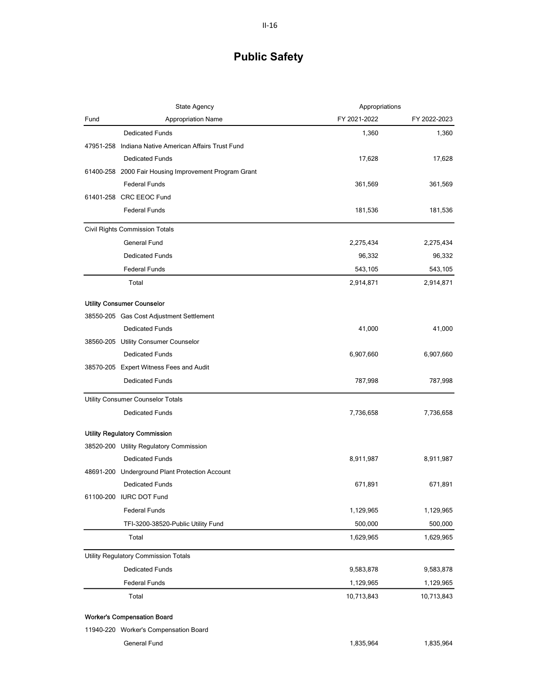| State Agency                                            | Appropriations |              |
|---------------------------------------------------------|----------------|--------------|
| <b>Appropriation Name</b><br>Fund                       | FY 2021-2022   | FY 2022-2023 |
| <b>Dedicated Funds</b>                                  | 1,360          | 1,360        |
| Indiana Native American Affairs Trust Fund<br>47951-258 |                |              |
| <b>Dedicated Funds</b>                                  | 17,628         | 17,628       |
| 61400-258 2000 Fair Housing Improvement Program Grant   |                |              |
| <b>Federal Funds</b>                                    | 361,569        | 361,569      |
| 61401-258 CRC EEOC Fund                                 |                |              |
| <b>Federal Funds</b>                                    | 181,536        | 181,536      |
| Civil Rights Commission Totals                          |                |              |
| General Fund                                            | 2,275,434      | 2,275,434    |
| <b>Dedicated Funds</b>                                  | 96,332         | 96,332       |
| <b>Federal Funds</b>                                    | 543,105        | 543,105      |
| Total                                                   | 2,914,871      | 2,914,871    |
| <b>Utility Consumer Counselor</b>                       |                |              |
| 38550-205 Gas Cost Adjustment Settlement                |                |              |
| <b>Dedicated Funds</b>                                  | 41,000         | 41,000       |
| 38560-205 Utility Consumer Counselor                    |                |              |
| <b>Dedicated Funds</b>                                  | 6,907,660      | 6,907,660    |
| 38570-205 Expert Witness Fees and Audit                 |                |              |
| <b>Dedicated Funds</b>                                  | 787,998        | 787,998      |
| Utility Consumer Counselor Totals                       |                |              |
| <b>Dedicated Funds</b>                                  | 7,736,658      | 7,736,658    |
| Utility Regulatory Commission                           |                |              |
| 38520-200 Utility Regulatory Commission                 |                |              |
| <b>Dedicated Funds</b>                                  | 8,911,987      | 8,911,987    |
| 48691-200 Underground Plant Protection Account          |                |              |
| <b>Dedicated Funds</b>                                  | 671,891        | 671,891      |
| 61100-200 IURC DOT Fund                                 |                |              |
| <b>Federal Funds</b>                                    | 1,129,965      | 1,129,965    |
| TFI-3200-38520-Public Utility Fund                      | 500,000        | 500,000      |
| Total                                                   | 1,629,965      | 1,629,965    |
| Utility Regulatory Commission Totals                    |                |              |
| <b>Dedicated Funds</b>                                  | 9,583,878      | 9,583,878    |
| <b>Federal Funds</b>                                    | 1,129,965      | 1,129,965    |
| Total                                                   | 10,713,843     | 10,713,843   |
| <b>Worker's Compensation Board</b>                      |                |              |
| 11940-220 Worker's Compensation Board                   |                |              |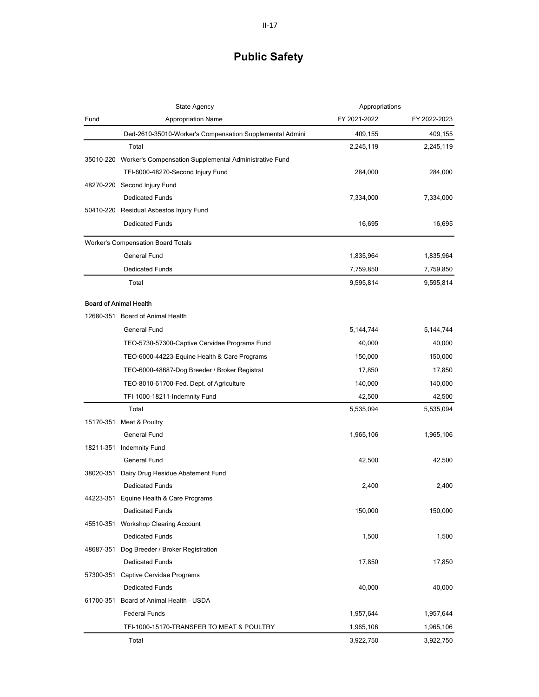| State Agency |                                                                  | Appropriations |              |
|--------------|------------------------------------------------------------------|----------------|--------------|
| Fund         | <b>Appropriation Name</b>                                        | FY 2021-2022   | FY 2022-2023 |
|              | Ded-2610-35010-Worker's Compensation Supplemental Admini         | 409,155        | 409,155      |
|              | Total                                                            | 2,245,119      | 2,245,119    |
|              | 35010-220 Worker's Compensation Supplemental Administrative Fund |                |              |
|              | TFI-6000-48270-Second Injury Fund                                | 284,000        | 284,000      |
|              | 48270-220 Second Injury Fund                                     |                |              |
|              | <b>Dedicated Funds</b>                                           | 7,334,000      | 7,334,000    |
|              | 50410-220 Residual Asbestos Injury Fund                          |                |              |
|              | <b>Dedicated Funds</b>                                           | 16,695         | 16,695       |
|              | <b>Worker's Compensation Board Totals</b>                        |                |              |
|              | <b>General Fund</b>                                              | 1,835,964      | 1,835,964    |
|              | <b>Dedicated Funds</b>                                           | 7,759,850      | 7,759,850    |
|              | Total                                                            | 9,595,814      | 9,595,814    |
|              | <b>Board of Animal Health</b>                                    |                |              |
|              | 12680-351 Board of Animal Health                                 |                |              |
|              | <b>General Fund</b>                                              | 5,144,744      | 5,144,744    |
|              | TEO-5730-57300-Captive Cervidae Programs Fund                    | 40,000         | 40,000       |
|              | TEO-6000-44223-Equine Health & Care Programs                     | 150,000        | 150,000      |
|              | TEO-6000-48687-Dog Breeder / Broker Registrat                    | 17,850         | 17,850       |
|              | TEO-8010-61700-Fed. Dept. of Agriculture                         | 140,000        | 140,000      |
|              | TFI-1000-18211-Indemnity Fund                                    | 42,500         | 42,500       |
|              | Total                                                            | 5,535,094      | 5,535,094    |
|              | 15170-351 Meat & Poultry                                         |                |              |
|              | General Fund                                                     | 1,965,106      | 1,965,106    |
|              | 18211-351 Indemnity Fund                                         |                |              |
|              | <b>General Fund</b>                                              | 42,500         | 42,500       |
| 38020-351    | Dairy Drug Residue Abatement Fund                                |                |              |
|              | <b>Dedicated Funds</b>                                           | 2,400          | 2,400        |
|              | 44223-351 Equine Health & Care Programs                          |                |              |
|              | <b>Dedicated Funds</b>                                           | 150,000        | 150,000      |
|              | 45510-351 Workshop Clearing Account                              |                |              |
|              | <b>Dedicated Funds</b>                                           | 1,500          | 1,500        |
|              | 48687-351 Dog Breeder / Broker Registration                      |                |              |
|              | <b>Dedicated Funds</b>                                           | 17,850         | 17,850       |
|              | 57300-351 Captive Cervidae Programs                              |                |              |
|              | <b>Dedicated Funds</b>                                           | 40,000         | 40,000       |
|              | 61700-351 Board of Animal Health - USDA                          |                |              |
|              | <b>Federal Funds</b>                                             | 1,957,644      | 1,957,644    |
|              | TFI-1000-15170-TRANSFER TO MEAT & POULTRY                        | 1,965,106      | 1,965,106    |
|              | Total                                                            | 3,922,750      | 3,922,750    |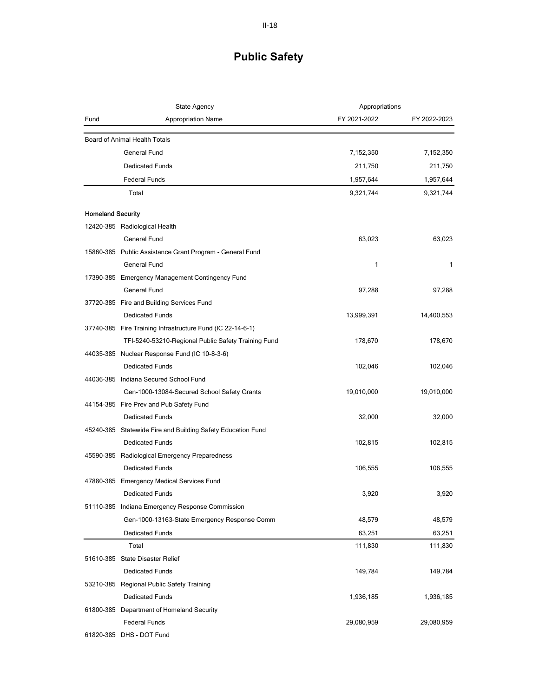|                          | <b>State Agency</b>                                         | Appropriations |              |
|--------------------------|-------------------------------------------------------------|----------------|--------------|
| Fund                     | <b>Appropriation Name</b>                                   | FY 2021-2022   | FY 2022-2023 |
|                          | Board of Animal Health Totals                               |                |              |
|                          | General Fund                                                | 7,152,350      | 7,152,350    |
|                          | <b>Dedicated Funds</b>                                      | 211,750        | 211,750      |
|                          | <b>Federal Funds</b>                                        | 1,957,644      | 1,957,644    |
|                          | Total                                                       | 9,321,744      | 9,321,744    |
|                          |                                                             |                |              |
| <b>Homeland Security</b> |                                                             |                |              |
|                          | 12420-385 Radiological Health                               |                |              |
|                          | General Fund                                                | 63,023         | 63,023       |
|                          | 15860-385 Public Assistance Grant Program - General Fund    |                |              |
|                          | <b>General Fund</b>                                         | 1              | 1            |
|                          | 17390-385 Emergency Management Contingency Fund             |                |              |
|                          | <b>General Fund</b>                                         | 97,288         | 97,288       |
|                          | 37720-385 Fire and Building Services Fund                   |                |              |
|                          | <b>Dedicated Funds</b>                                      | 13,999,391     | 14,400,553   |
|                          | 37740-385 Fire Training Infrastructure Fund (IC 22-14-6-1)  |                |              |
|                          | TFI-5240-53210-Regional Public Safety Training Fund         | 178,670        | 178,670      |
|                          | 44035-385 Nuclear Response Fund (IC 10-8-3-6)               |                |              |
|                          | <b>Dedicated Funds</b>                                      | 102,046        | 102,046      |
|                          | 44036-385 Indiana Secured School Fund                       |                |              |
|                          | Gen-1000-13084-Secured School Safety Grants                 | 19,010,000     | 19,010,000   |
|                          | 44154-385 Fire Prev and Pub Safety Fund                     |                |              |
|                          | <b>Dedicated Funds</b>                                      | 32,000         | 32,000       |
|                          | 45240-385 Statewide Fire and Building Safety Education Fund |                |              |
|                          | <b>Dedicated Funds</b>                                      | 102,815        | 102,815      |
|                          | 45590-385 Radiological Emergency Preparedness               |                |              |
|                          | <b>Dedicated Funds</b>                                      | 106,555        | 106,555      |
|                          | 47880-385 Emergency Medical Services Fund                   |                |              |
|                          | <b>Dedicated Funds</b>                                      | 3,920          | 3,920        |
|                          | 51110-385 Indiana Emergency Response Commission             |                |              |
|                          | Gen-1000-13163-State Emergency Response Comm                | 48,579         | 48,579       |
|                          | <b>Dedicated Funds</b>                                      | 63,251         | 63,251       |
|                          | Total                                                       | 111,830        | 111,830      |
|                          | 51610-385 State Disaster Relief                             |                |              |
|                          | <b>Dedicated Funds</b>                                      | 149,784        | 149,784      |
|                          | 53210-385 Regional Public Safety Training                   |                |              |
|                          | <b>Dedicated Funds</b>                                      | 1,936,185      | 1,936,185    |
|                          | 61800-385 Department of Homeland Security                   |                |              |
|                          | <b>Federal Funds</b>                                        | 29,080,959     | 29,080,959   |
|                          | 61820-385 DHS - DOT Fund                                    |                |              |